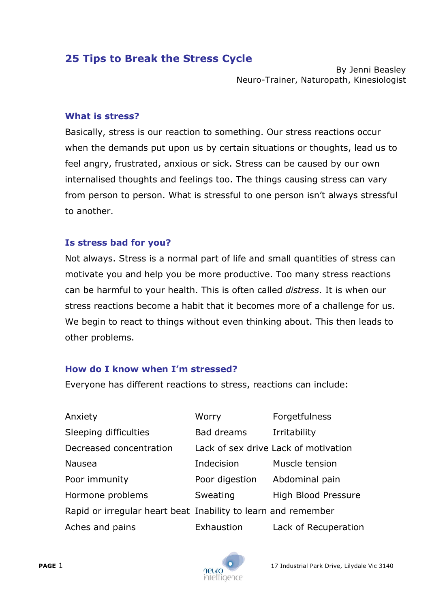# **25 Tips to Break the Stress Cycle**

By Jenni Beasley Neuro-Trainer, Naturopath, Kinesiologist

#### **What is stress?**

Basically, stress is our reaction to something. Our stress reactions occur when the demands put upon us by certain situations or thoughts, lead us to feel angry, frustrated, anxious or sick. Stress can be caused by our own internalised thoughts and feelings too. The things causing stress can vary from person to person. What is stressful to one person isn't always stressful to another.

#### **Is stress bad for you?**

Not always. Stress is a normal part of life and small quantities of stress can motivate you and help you be more productive. Too many stress reactions can be harmful to your health. This is often called *distress*. It is when our stress reactions become a habit that it becomes more of a challenge for us. We begin to react to things without even thinking about. This then leads to other problems.

# **How do I know when I'm stressed?**

Everyone has different reactions to stress, reactions can include:

| Anxiety                 | Worry                                                         | Forgetfulness                        |
|-------------------------|---------------------------------------------------------------|--------------------------------------|
| Sleeping difficulties   | Bad dreams                                                    | Irritability                         |
| Decreased concentration |                                                               | Lack of sex drive Lack of motivation |
| <b>Nausea</b>           | Indecision                                                    | Muscle tension                       |
| Poor immunity           | Poor digestion                                                | Abdominal pain                       |
| Hormone problems        | Sweating                                                      | High Blood Pressure                  |
|                         | Rapid or irregular heart beat Inability to learn and remember |                                      |
| Aches and pains         | Exhaustion                                                    | Lack of Recuperation                 |

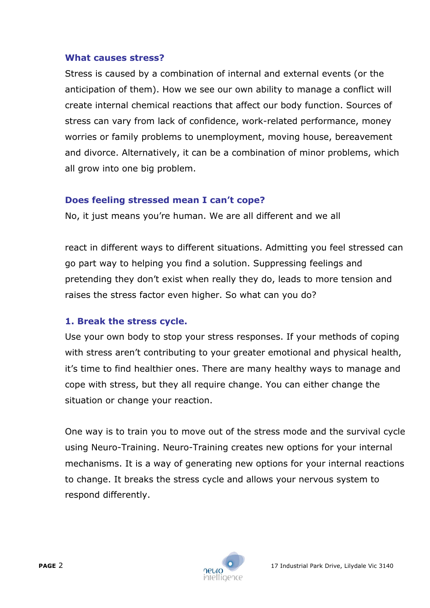#### **What causes stress?**

Stress is caused by a combination of internal and external events (or the anticipation of them). How we see our own ability to manage a conflict will create internal chemical reactions that affect our body function. Sources of stress can vary from lack of confidence, work-related performance, money worries or family problems to unemployment, moving house, bereavement and divorce. Alternatively, it can be a combination of minor problems, which all grow into one big problem.

# **Does feeling stressed mean I can't cope?**

No, it just means you're human. We are all different and we all

react in different ways to different situations. Admitting you feel stressed can go part way to helping you find a solution. Suppressing feelings and pretending they don't exist when really they do, leads to more tension and raises the stress factor even higher. So what can you do?

# **1. Break the stress cycle.**

Use your own body to stop your stress responses. If your methods of coping with stress aren't contributing to your greater emotional and physical health, it's time to find healthier ones. There are many healthy ways to manage and cope with stress, but they all require change. You can either change the situation or change your reaction.

One way is to train you to move out of the stress mode and the survival cycle using Neuro-Training. Neuro-Training creates new options for your internal mechanisms. It is a way of generating new options for your internal reactions to change. It breaks the stress cycle and allows your nervous system to respond differently.

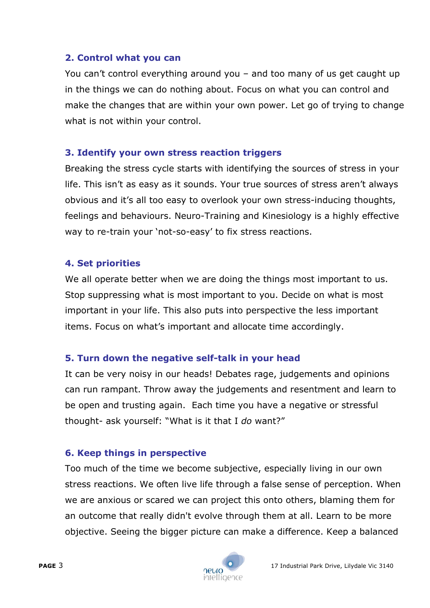# **2. Control what you can**

You can't control everything around you – and too many of us get caught up in the things we can do nothing about. Focus on what you can control and make the changes that are within your own power. Let go of trying to change what is not within your control.

# **3. Identify your own stress reaction triggers**

Breaking the stress cycle starts with identifying the sources of stress in your life. This isn't as easy as it sounds. Your true sources of stress aren't always obvious and it's all too easy to overlook your own stress-inducing thoughts, feelings and behaviours. Neuro-Training and Kinesiology is a highly effective way to re-train your 'not-so-easy' to fix stress reactions.

# **4. Set priorities**

We all operate better when we are doing the things most important to us. Stop suppressing what is most important to you. Decide on what is most important in your life. This also puts into perspective the less important items. Focus on what's important and allocate time accordingly.

# **5. Turn down the negative self-talk in your head**

It can be very noisy in our heads! Debates rage, judgements and opinions can run rampant. Throw away the judgements and resentment and learn to be open and trusting again. Each time you have a negative or stressful thought- ask yourself: "What is it that I *do* want?"

# **6. Keep things in perspective**

Too much of the time we become subjective, especially living in our own stress reactions. We often live life through a false sense of perception. When we are anxious or scared we can project this onto others, blaming them for an outcome that really didn't evolve through them at all. Learn to be more objective. Seeing the bigger picture can make a difference. Keep a balanced

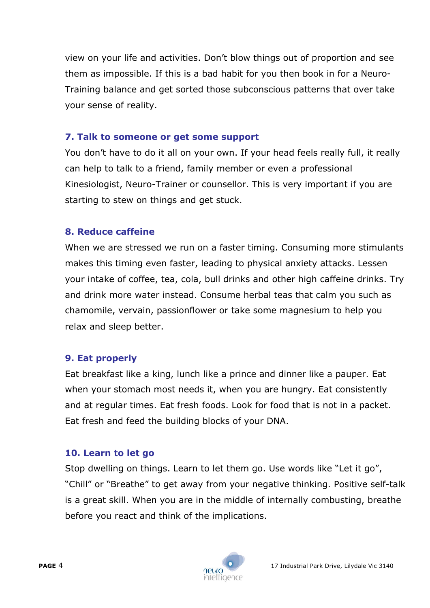view on your life and activities. Don't blow things out of proportion and see them as impossible. If this is a bad habit for you then book in for a Neuro-Training balance and get sorted those subconscious patterns that over take your sense of reality.

#### **7. Talk to someone or get some support**

You don't have to do it all on your own. If your head feels really full, it really can help to talk to a friend, family member or even a professional Kinesiologist, Neuro-Trainer or counsellor. This is very important if you are starting to stew on things and get stuck.

# **8. Reduce caffeine**

When we are stressed we run on a faster timing. Consuming more stimulants makes this timing even faster, leading to physical anxiety attacks. Lessen your intake of coffee, tea, cola, bull drinks and other high caffeine drinks. Try and drink more water instead. Consume herbal teas that calm you such as chamomile, vervain, passionflower or take some magnesium to help you relax and sleep better.

# **9. Eat properly**

Eat breakfast like a king, lunch like a prince and dinner like a pauper. Eat when your stomach most needs it, when you are hungry. Eat consistently and at regular times. Eat fresh foods. Look for food that is not in a packet. Eat fresh and feed the building blocks of your DNA.

# **10. Learn to let go**

Stop dwelling on things. Learn to let them go. Use words like "Let it go", "Chill" or "Breathe" to get away from your negative thinking. Positive self-talk is a great skill. When you are in the middle of internally combusting, breathe before you react and think of the implications.

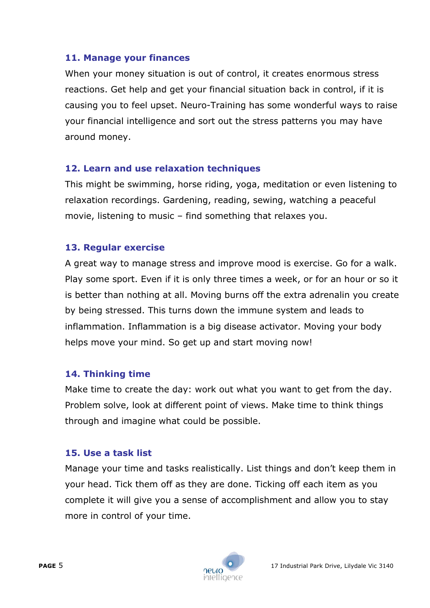# **11. Manage your finances**

When your money situation is out of control, it creates enormous stress reactions. Get help and get your financial situation back in control, if it is causing you to feel upset. Neuro-Training has some wonderful ways to raise your financial intelligence and sort out the stress patterns you may have around money.

# **12. Learn and use relaxation techniques**

This might be swimming, horse riding, yoga, meditation or even listening to relaxation recordings. Gardening, reading, sewing, watching a peaceful movie, listening to music – find something that relaxes you.

# **13. Regular exercise**

A great way to manage stress and improve mood is exercise. Go for a walk. Play some sport. Even if it is only three times a week, or for an hour or so it is better than nothing at all. Moving burns off the extra adrenalin you create by being stressed. This turns down the immune system and leads to inflammation. Inflammation is a big disease activator. Moving your body helps move your mind. So get up and start moving now!

# **14. Thinking time**

Make time to create the day: work out what you want to get from the day. Problem solve, look at different point of views. Make time to think things through and imagine what could be possible.

# **15. Use a task list**

Manage your time and tasks realistically. List things and don't keep them in your head. Tick them off as they are done. Ticking off each item as you complete it will give you a sense of accomplishment and allow you to stay more in control of your time.

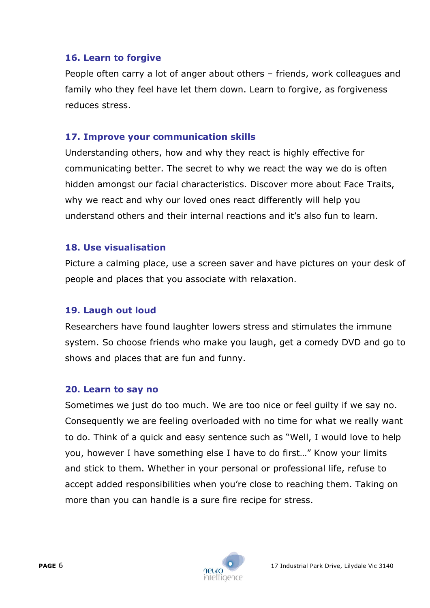# **16. Learn to forgive**

People often carry a lot of anger about others – friends, work colleagues and family who they feel have let them down. Learn to forgive, as forgiveness reduces stress.

#### **17. Improve your communication skills**

Understanding others, how and why they react is highly effective for communicating better. The secret to why we react the way we do is often hidden amongst our facial characteristics. Discover more about Face Traits, why we react and why our loved ones react differently will help you understand others and their internal reactions and it's also fun to learn.

#### **18. Use visualisation**

Picture a calming place, use a screen saver and have pictures on your desk of people and places that you associate with relaxation.

# **19. Laugh out loud**

Researchers have found laughter lowers stress and stimulates the immune system. So choose friends who make you laugh, get a comedy DVD and go to shows and places that are fun and funny.

#### **20. Learn to say no**

Sometimes we just do too much. We are too nice or feel guilty if we say no. Consequently we are feeling overloaded with no time for what we really want to do. Think of a quick and easy sentence such as "Well, I would love to help you, however I have something else I have to do first…" Know your limits and stick to them. Whether in your personal or professional life, refuse to accept added responsibilities when you're close to reaching them. Taking on more than you can handle is a sure fire recipe for stress.

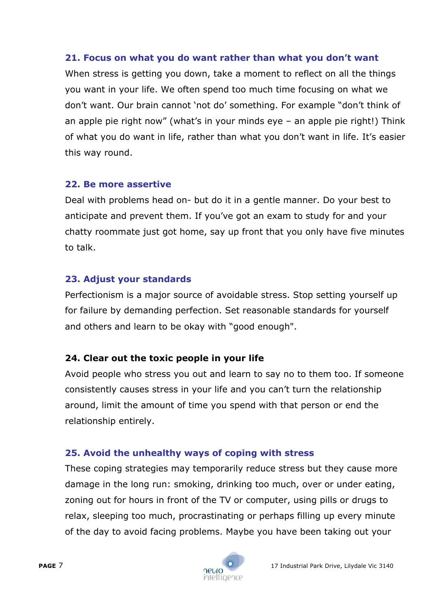# **21. Focus on what you do want rather than what you don't want**

When stress is getting you down, take a moment to reflect on all the things you want in your life. We often spend too much time focusing on what we don't want. Our brain cannot 'not do' something. For example "don't think of an apple pie right now" (what's in your minds eye – an apple pie right!) Think of what you do want in life, rather than what you don't want in life. It's easier this way round.

# **22. Be more assertive**

Deal with problems head on- but do it in a gentle manner. Do your best to anticipate and prevent them. If you've got an exam to study for and your chatty roommate just got home, say up front that you only have five minutes to talk.

# **23. Adjust your standards**

Perfectionism is a major source of avoidable stress. Stop setting yourself up for failure by demanding perfection. Set reasonable standards for yourself and others and learn to be okay with "good enough".

# **24. Clear out the toxic people in your life**

Avoid people who stress you out and learn to say no to them too. If someone consistently causes stress in your life and you can't turn the relationship around, limit the amount of time you spend with that person or end the relationship entirely.

# **25. Avoid the unhealthy ways of coping with stress**

These coping strategies may temporarily reduce stress but they cause more damage in the long run: smoking, drinking too much, over or under eating, zoning out for hours in front of the TV or computer, using pills or drugs to relax, sleeping too much, procrastinating or perhaps filling up every minute of the day to avoid facing problems. Maybe you have been taking out your